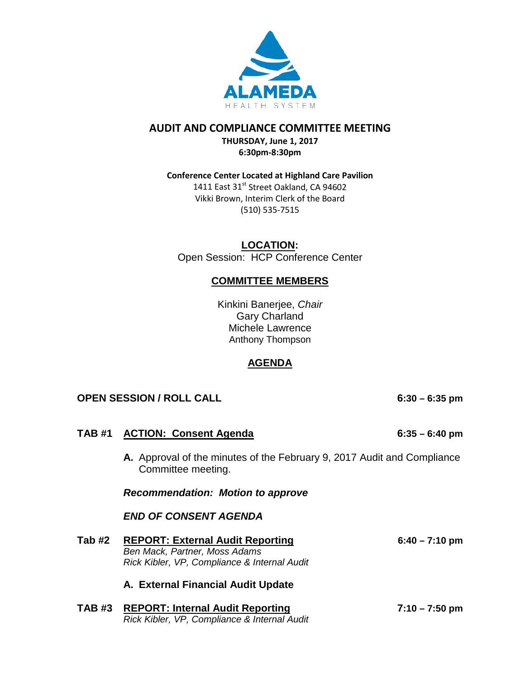

# **AUDIT AND COMPLIANCE COMMITTEE MEETING**

**THURSDAY, June 1, 2017 6:30pm-8:30pm**

# **Conference Center Located at Highland Care Pavilion**

1411 East 31<sup>st</sup> Street Oakland, CA 94602 Vikki Brown, Interim Clerk of the Board (510) 535-7515

**LOCATION:** Open Session: HCP Conference Center

# **COMMITTEE MEMBERS**

Kinkini Banerjee, *Chair* Gary Charland Michele Lawrence Anthony Thompson

# **AGENDA**

# **OPEN SESSION / ROLL CALL 6:30 – 6:35 pm**

|               | TAB #1 ACTION: Consent Agenda                                                                                            | $6:35 - 6:40$ pm         |
|---------------|--------------------------------------------------------------------------------------------------------------------------|--------------------------|
|               | <b>A.</b> Approval of the minutes of the February 9, 2017 Audit and Compliance<br>Committee meeting.                     |                          |
|               | <b>Recommendation: Motion to approve</b>                                                                                 |                          |
|               | <b>END OF CONSENT AGENDA</b>                                                                                             |                          |
| Tab #2        | <b>REPORT: External Audit Reporting</b><br>Ben Mack, Partner, Moss Adams<br>Rick Kibler, VP, Compliance & Internal Audit | $6:40 - 7:10 \text{ pm}$ |
|               | A. External Financial Audit Update                                                                                       |                          |
| <b>TAB #3</b> | <b>REPORT: Internal Audit Reporting</b><br>Rick Kibler, VP, Compliance & Internal Audit                                  | $7:10 - 7:50$ pm         |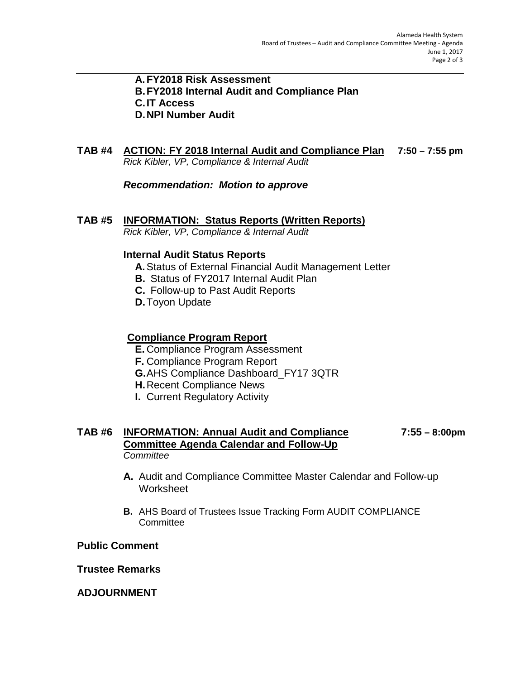## **A.FY2018 Risk Assessment B.FY2018 Internal Audit and Compliance Plan C.IT Access D.NPI Number Audit**

# **TAB #4 ACTION: FY 2018 Internal Audit and Compliance Plan 7:50 – 7:55 pm** *Rick Kibler, VP, Compliance & Internal Audit*

*Recommendation: Motion to approve*

# **TAB #5 INFORMATION: Status Reports (Written Reports)**

*Rick Kibler, VP, Compliance & Internal Audit*

# **Internal Audit Status Reports**

- **A.**Status of External Financial Audit Management Letter
- **B.** Status of FY2017 Internal Audit Plan
- **C.** Follow-up to Past Audit Reports
- **D.**Toyon Update

# **Compliance Program Report**

- **E.** Compliance Program Assessment
- **F.** Compliance Program Report
- **G.**AHS Compliance Dashboard\_FY17 3QTR
- **H.**Recent Compliance News
- **I.** Current Regulatory Activity

# **TAB #6 INFORMATION: Annual Audit and Compliance 7:55 – 8:00pm Committee Agenda Calendar and Follow-Up** *Committee*

- **A.** Audit and Compliance Committee Master Calendar and Follow-up **Worksheet**
- **B.** AHS Board of Trustees Issue Tracking Form AUDIT COMPLIANCE **Committee**

# **Public Comment**

# **Trustee Remarks**

# **ADJOURNMENT**